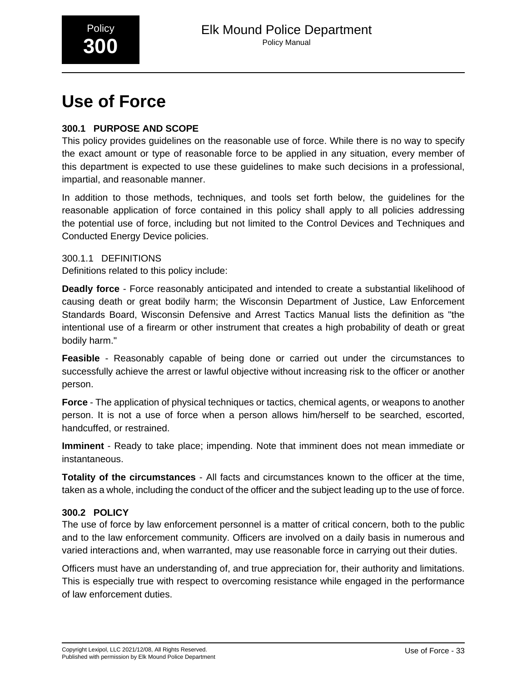

# **Use of Force**

# **300.1 PURPOSE AND SCOPE**

This policy provides guidelines on the reasonable use of force. While there is no way to specify the exact amount or type of reasonable force to be applied in any situation, every member of this department is expected to use these guidelines to make such decisions in a professional, impartial, and reasonable manner.

In addition to those methods, techniques, and tools set forth below, the guidelines for the reasonable application of force contained in this policy shall apply to all policies addressing the potential use of force, including but not limited to the Control Devices and Techniques and Conducted Energy Device policies.

300.1.1 DEFINITIONS Definitions related to this policy include:

**Deadly force** - Force reasonably anticipated and intended to create a substantial likelihood of causing death or great bodily harm; the Wisconsin Department of Justice, Law Enforcement Standards Board, Wisconsin Defensive and Arrest Tactics Manual lists the definition as "the intentional use of a firearm or other instrument that creates a high probability of death or great bodily harm."

**Feasible** - Reasonably capable of being done or carried out under the circumstances to successfully achieve the arrest or lawful objective without increasing risk to the officer or another person.

**Force** - The application of physical techniques or tactics, chemical agents, or weapons to another person. It is not a use of force when a person allows him/herself to be searched, escorted, handcuffed, or restrained.

**Imminent** - Ready to take place; impending. Note that imminent does not mean immediate or instantaneous.

**Totality of the circumstances** - All facts and circumstances known to the officer at the time, taken as a whole, including the conduct of the officer and the subject leading up to the use of force.

# **300.2 POLICY**

The use of force by law enforcement personnel is a matter of critical concern, both to the public and to the law enforcement community. Officers are involved on a daily basis in numerous and varied interactions and, when warranted, may use reasonable force in carrying out their duties.

Officers must have an understanding of, and true appreciation for, their authority and limitations. This is especially true with respect to overcoming resistance while engaged in the performance of law enforcement duties.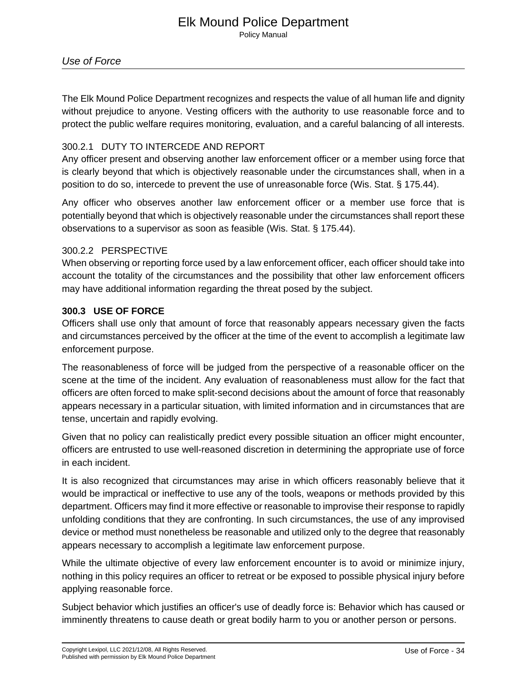# Elk Mound Police Department

Policy Manual

The Elk Mound Police Department recognizes and respects the value of all human life and dignity without prejudice to anyone. Vesting officers with the authority to use reasonable force and to protect the public welfare requires monitoring, evaluation, and a careful balancing of all interests.

### 300.2.1 DUTY TO INTERCEDE AND REPORT

Any officer present and observing another law enforcement officer or a member using force that is clearly beyond that which is objectively reasonable under the circumstances shall, when in a position to do so, intercede to prevent the use of unreasonable force (Wis. Stat. § 175.44).

Any officer who observes another law enforcement officer or a member use force that is potentially beyond that which is objectively reasonable under the circumstances shall report these observations to a supervisor as soon as feasible (Wis. Stat. § 175.44).

#### 300.2.2 PERSPECTIVE

When observing or reporting force used by a law enforcement officer, each officer should take into account the totality of the circumstances and the possibility that other law enforcement officers may have additional information regarding the threat posed by the subject.

#### **300.3 USE OF FORCE**

Officers shall use only that amount of force that reasonably appears necessary given the facts and circumstances perceived by the officer at the time of the event to accomplish a legitimate law enforcement purpose.

The reasonableness of force will be judged from the perspective of a reasonable officer on the scene at the time of the incident. Any evaluation of reasonableness must allow for the fact that officers are often forced to make split-second decisions about the amount of force that reasonably appears necessary in a particular situation, with limited information and in circumstances that are tense, uncertain and rapidly evolving.

Given that no policy can realistically predict every possible situation an officer might encounter, officers are entrusted to use well-reasoned discretion in determining the appropriate use of force in each incident.

It is also recognized that circumstances may arise in which officers reasonably believe that it would be impractical or ineffective to use any of the tools, weapons or methods provided by this department. Officers may find it more effective or reasonable to improvise their response to rapidly unfolding conditions that they are confronting. In such circumstances, the use of any improvised device or method must nonetheless be reasonable and utilized only to the degree that reasonably appears necessary to accomplish a legitimate law enforcement purpose.

While the ultimate objective of every law enforcement encounter is to avoid or minimize injury, nothing in this policy requires an officer to retreat or be exposed to possible physical injury before applying reasonable force.

Subject behavior which justifies an officer's use of deadly force is: Behavior which has caused or imminently threatens to cause death or great bodily harm to you or another person or persons.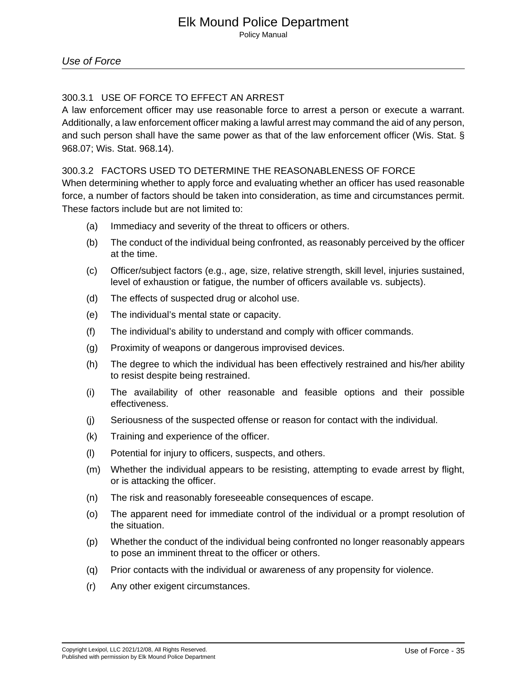### 300.3.1 USE OF FORCE TO EFFECT AN ARREST

A law enforcement officer may use reasonable force to arrest a person or execute a warrant. Additionally, a law enforcement officer making a lawful arrest may command the aid of any person, and such person shall have the same power as that of the law enforcement officer (Wis. Stat. § 968.07; Wis. Stat. 968.14).\_

#### 300.3.2 FACTORS USED TO DETERMINE THE REASONABLENESS OF FORCE

When determining whether to apply force and evaluating whether an officer has used reasonable force, a number of factors should be taken into consideration, as time and circumstances permit. These factors include but are not limited to:

- (a) Immediacy and severity of the threat to officers or others.
- (b) The conduct of the individual being confronted, as reasonably perceived by the officer at the time.
- (c) Officer/subject factors (e.g., age, size, relative strength, skill level, injuries sustained, level of exhaustion or fatigue, the number of officers available vs. subjects).
- (d) The effects of suspected drug or alcohol use.
- (e) The individual's mental state or capacity.
- (f) The individual's ability to understand and comply with officer commands.
- (g) Proximity of weapons or dangerous improvised devices.
- (h) The degree to which the individual has been effectively restrained and his/her ability to resist despite being restrained.
- (i) The availability of other reasonable and feasible options and their possible effectiveness.
- (j) Seriousness of the suspected offense or reason for contact with the individual.
- (k) Training and experience of the officer.
- (l) Potential for injury to officers, suspects, and others.
- (m) Whether the individual appears to be resisting, attempting to evade arrest by flight, or is attacking the officer.
- (n) The risk and reasonably foreseeable consequences of escape.
- (o) The apparent need for immediate control of the individual or a prompt resolution of the situation.
- (p) Whether the conduct of the individual being confronted no longer reasonably appears to pose an imminent threat to the officer or others.
- (q) Prior contacts with the individual or awareness of any propensity for violence.
- (r) Any other exigent circumstances.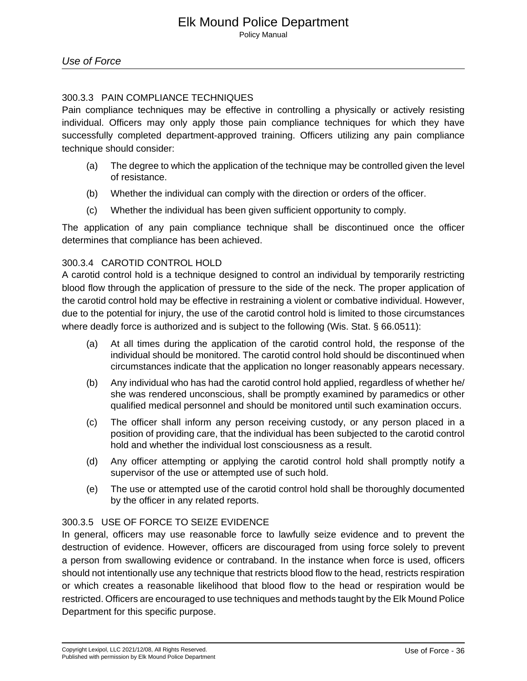### 300.3.3 PAIN COMPLIANCE TECHNIQUES

Pain compliance techniques may be effective in controlling a physically or actively resisting individual. Officers may only apply those pain compliance techniques for which they have successfully completed department-approved training. Officers utilizing any pain compliance technique should consider:

- (a) The degree to which the application of the technique may be controlled given the level of resistance.
- (b) Whether the individual can comply with the direction or orders of the officer.
- (c) Whether the individual has been given sufficient opportunity to comply.

The application of any pain compliance technique shall be discontinued once the officer determines that compliance has been achieved.

#### 300.3.4 CAROTID CONTROL HOLD

A carotid control hold is a technique designed to control an individual by temporarily restricting blood flow through the application of pressure to the side of the neck. The proper application of the carotid control hold may be effective in restraining a violent or combative individual. However, due to the potential for injury, the use of the carotid control hold is limited to those circumstances where deadly force is authorized and is subject to the following (Wis. Stat. § 66.0511):

- (a) At all times during the application of the carotid control hold, the response of the individual should be monitored. The carotid control hold should be discontinued when circumstances indicate that the application no longer reasonably appears necessary.
- (b) Any individual who has had the carotid control hold applied, regardless of whether he/ she was rendered unconscious, shall be promptly examined by paramedics or other qualified medical personnel and should be monitored until such examination occurs.
- (c) The officer shall inform any person receiving custody, or any person placed in a position of providing care, that the individual has been subjected to the carotid control hold and whether the individual lost consciousness as a result.
- (d) Any officer attempting or applying the carotid control hold shall promptly notify a supervisor of the use or attempted use of such hold.
- (e) The use or attempted use of the carotid control hold shall be thoroughly documented by the officer in any related reports.

#### 300.3.5 USE OF FORCE TO SEIZE EVIDENCE

In general, officers may use reasonable force to lawfully seize evidence and to prevent the destruction of evidence. However, officers are discouraged from using force solely to prevent a person from swallowing evidence or contraband. In the instance when force is used, officers should not intentionally use any technique that restricts blood flow to the head, restricts respiration or which creates a reasonable likelihood that blood flow to the head or respiration would be restricted. Officers are encouraged to use techniques and methods taught by the Elk Mound Police Department for this specific purpose.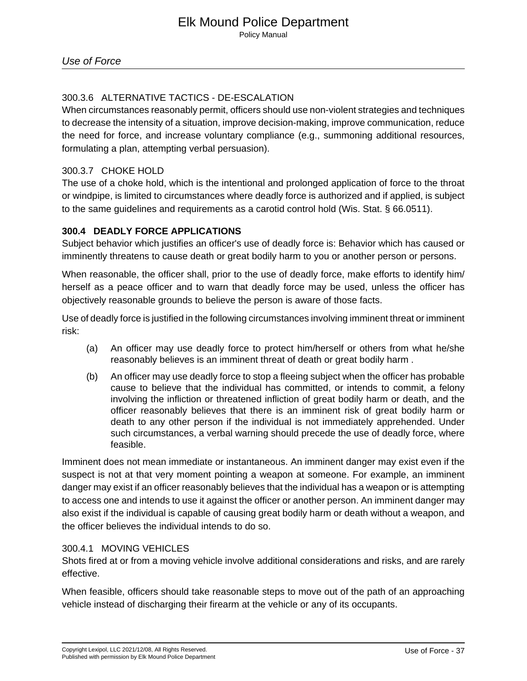# 300.3.6 ALTERNATIVE TACTICS - DE-ESCALATION

When circumstances reasonably permit, officers should use non-violent strategies and techniques to decrease the intensity of a situation, improve decision-making, improve communication, reduce the need for force, and increase voluntary compliance (e.g., summoning additional resources, formulating a plan, attempting verbal persuasion).

#### 300.3.7 CHOKE HOLD

The use of a choke hold, which is the intentional and prolonged application of force to the throat or windpipe, is limited to circumstances where deadly force is authorized and if applied, is subject to the same guidelines and requirements as a carotid control hold (Wis. Stat. § 66.0511).

#### **300.4 DEADLY FORCE APPLICATIONS**

Subject behavior which justifies an officer's use of deadly force is: Behavior which has caused or imminently threatens to cause death or great bodily harm to you or another person or persons.

When reasonable, the officer shall, prior to the use of deadly force, make efforts to identify him/ herself as a peace officer and to warn that deadly force may be used, unless the officer has objectively reasonable grounds to believe the person is aware of those facts.

Use of deadly force is justified in the following circumstances involving imminent threat or imminent risk:

- (a) An officer may use deadly force to protect him/herself or others from what he/she reasonably believes is an imminent threat of death or great bodily harm .
- (b) An officer may use deadly force to stop a fleeing subject when the officer has probable cause to believe that the individual has committed, or intends to commit, a felony involving the infliction or threatened infliction of great bodily harm or death, and the officer reasonably believes that there is an imminent risk of great bodily harm or death to any other person if the individual is not immediately apprehended. Under such circumstances, a verbal warning should precede the use of deadly force, where feasible.

Imminent does not mean immediate or instantaneous. An imminent danger may exist even if the suspect is not at that very moment pointing a weapon at someone. For example, an imminent danger may exist if an officer reasonably believes that the individual has a weapon or is attempting to access one and intends to use it against the officer or another person. An imminent danger may also exist if the individual is capable of causing great bodily harm or death without a weapon, and the officer believes the individual intends to do so.

#### 300.4.1 MOVING VEHICLES

Shots fired at or from a moving vehicle involve additional considerations and risks, and are rarely effective.

When feasible, officers should take reasonable steps to move out of the path of an approaching vehicle instead of discharging their firearm at the vehicle or any of its occupants.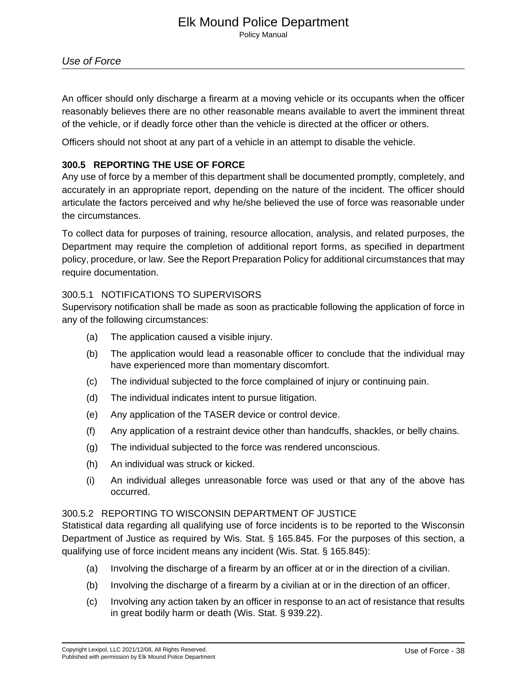# Elk Mound Police Department

Policy Manual

An officer should only discharge a firearm at a moving vehicle or its occupants when the officer reasonably believes there are no other reasonable means available to avert the imminent threat of the vehicle, or if deadly force other than the vehicle is directed at the officer or others.

Officers should not shoot at any part of a vehicle in an attempt to disable the vehicle.

# **300.5 REPORTING THE USE OF FORCE**

Any use of force by a member of this department shall be documented promptly, completely, and accurately in an appropriate report, depending on the nature of the incident. The officer should articulate the factors perceived and why he/she believed the use of force was reasonable under the circumstances.

To collect data for purposes of training, resource allocation, analysis, and related purposes, the Department may require the completion of additional report forms, as specified in department policy, procedure, or law. See the Report Preparation Policy for additional circumstances that may require documentation.

#### 300.5.1 NOTIFICATIONS TO SUPERVISORS

Supervisory notification shall be made as soon as practicable following the application of force in any of the following circumstances:

- (a) The application caused a visible injury.
- (b) The application would lead a reasonable officer to conclude that the individual may have experienced more than momentary discomfort.
- (c) The individual subjected to the force complained of injury or continuing pain.
- (d) The individual indicates intent to pursue litigation.
- (e) Any application of the TASER device or control device.
- (f) Any application of a restraint device other than handcuffs, shackles, or belly chains.
- (g) The individual subjected to the force was rendered unconscious.
- (h) An individual was struck or kicked.
- (i) An individual alleges unreasonable force was used or that any of the above has occurred.

#### 300.5.2 REPORTING TO WISCONSIN DEPARTMENT OF JUSTICE

Statistical data regarding all qualifying use of force incidents is to be reported to the Wisconsin Department of Justice as required by Wis. Stat. § 165.845. For the purposes of this section, a qualifying use of force incident means any incident (Wis. Stat. § 165.845):

- (a) Involving the discharge of a firearm by an officer at or in the direction of a civilian.
- (b) Involving the discharge of a firearm by a civilian at or in the direction of an officer.
- (c) Involving any action taken by an officer in response to an act of resistance that results in great bodily harm or death (Wis. Stat. § 939.22).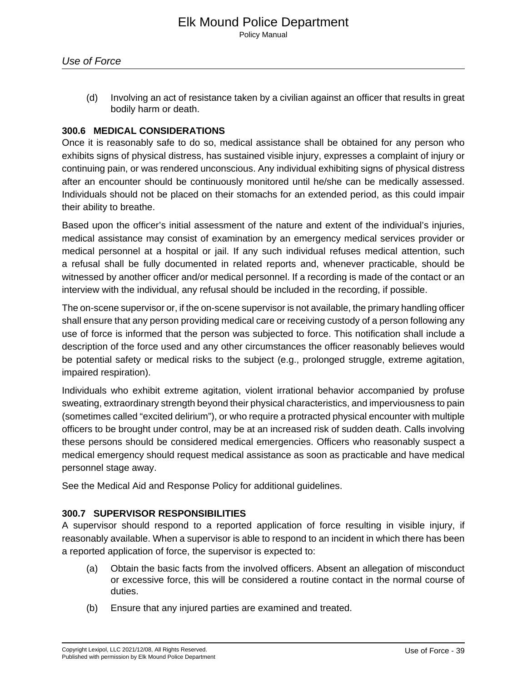(d) Involving an act of resistance taken by a civilian against an officer that results in great bodily harm or death.

#### **300.6 MEDICAL CONSIDERATIONS**

Once it is reasonably safe to do so, medical assistance shall be obtained for any person who exhibits signs of physical distress, has sustained visible injury, expresses a complaint of injury or continuing pain, or was rendered unconscious. Any individual exhibiting signs of physical distress after an encounter should be continuously monitored until he/she can be medically assessed. Individuals should not be placed on their stomachs for an extended period, as this could impair their ability to breathe.

Based upon the officer's initial assessment of the nature and extent of the individual's injuries, medical assistance may consist of examination by an emergency medical services provider or medical personnel at a hospital or jail. If any such individual refuses medical attention, such a refusal shall be fully documented in related reports and, whenever practicable, should be witnessed by another officer and/or medical personnel. If a recording is made of the contact or an interview with the individual, any refusal should be included in the recording, if possible.

The on-scene supervisor or, if the on-scene supervisor is not available, the primary handling officer shall ensure that any person providing medical care or receiving custody of a person following any use of force is informed that the person was subjected to force. This notification shall include a description of the force used and any other circumstances the officer reasonably believes would be potential safety or medical risks to the subject (e.g., prolonged struggle, extreme agitation, impaired respiration).

Individuals who exhibit extreme agitation, violent irrational behavior accompanied by profuse sweating, extraordinary strength beyond their physical characteristics, and imperviousness to pain (sometimes called "excited delirium"), or who require a protracted physical encounter with multiple officers to be brought under control, may be at an increased risk of sudden death. Calls involving these persons should be considered medical emergencies. Officers who reasonably suspect a medical emergency should request medical assistance as soon as practicable and have medical personnel stage away.

See the Medical Aid and Response Policy for additional guidelines.

#### **300.7 SUPERVISOR RESPONSIBILITIES**

A supervisor should respond to a reported application of force resulting in visible injury, if reasonably available. When a supervisor is able to respond to an incident in which there has been a reported application of force, the supervisor is expected to:

- (a) Obtain the basic facts from the involved officers. Absent an allegation of misconduct or excessive force, this will be considered a routine contact in the normal course of duties.
- (b) Ensure that any injured parties are examined and treated.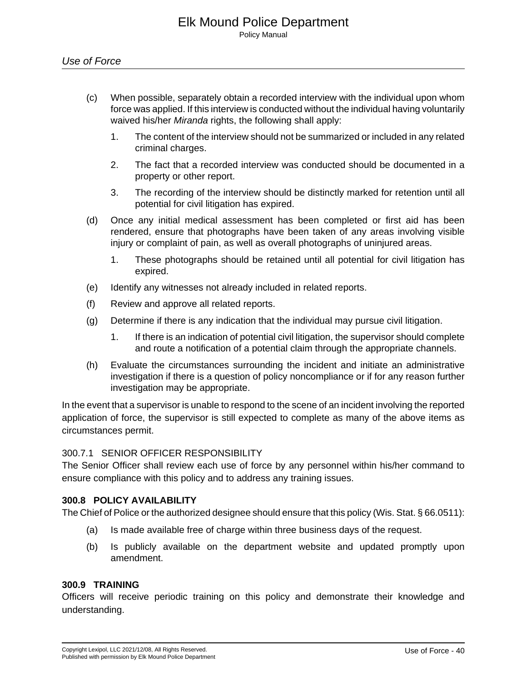- (c) When possible, separately obtain a recorded interview with the individual upon whom force was applied. If this interview is conducted without the individual having voluntarily waived his/her Miranda rights, the following shall apply:
	- 1. The content of the interview should not be summarized or included in any related criminal charges.
	- 2. The fact that a recorded interview was conducted should be documented in a property or other report.
	- 3. The recording of the interview should be distinctly marked for retention until all potential for civil litigation has expired.
- (d) Once any initial medical assessment has been completed or first aid has been rendered, ensure that photographs have been taken of any areas involving visible injury or complaint of pain, as well as overall photographs of uninjured areas.
	- 1. These photographs should be retained until all potential for civil litigation has expired.
- (e) Identify any witnesses not already included in related reports.
- (f) Review and approve all related reports.
- (g) Determine if there is any indication that the individual may pursue civil litigation.
	- 1. If there is an indication of potential civil litigation, the supervisor should complete and route a notification of a potential claim through the appropriate channels.
- (h) Evaluate the circumstances surrounding the incident and initiate an administrative investigation if there is a question of policy noncompliance or if for any reason further investigation may be appropriate.

In the event that a supervisor is unable to respond to the scene of an incident involving the reported application of force, the supervisor is still expected to complete as many of the above items as circumstances permit.

#### 300.7.1 SENIOR OFFICER RESPONSIBILITY

The Senior Officer shall review each use of force by any personnel within his/her command to ensure compliance with this policy and to address any training issues.

#### **300.8 POLICY AVAILABILITY**

The Chief of Police or the authorized designee should ensure that this policy (Wis. Stat. § 66.0511):

- (a) Is made available free of charge within three business days of the request.
- (b) Is publicly available on the department website and updated promptly upon amendment.

#### **300.9 TRAINING**

Officers will receive periodic training on this policy and demonstrate their knowledge and understanding.